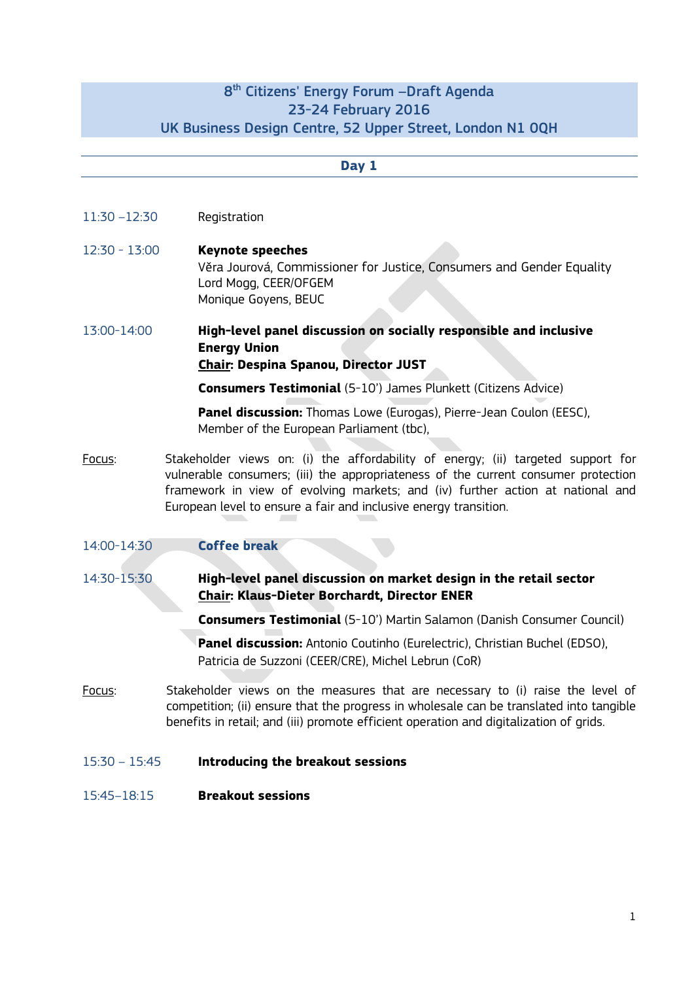## 8th Citizens' Energy Forum –Draft Agenda 23-24 February 2016 UK Business Design Centre, 52 Upper Street, London N1 0QH

| Day 1           |                                                                                                                                                                                                                                                                                                                              |  |
|-----------------|------------------------------------------------------------------------------------------------------------------------------------------------------------------------------------------------------------------------------------------------------------------------------------------------------------------------------|--|
|                 |                                                                                                                                                                                                                                                                                                                              |  |
| $11:30 - 12:30$ | Registration                                                                                                                                                                                                                                                                                                                 |  |
| $12:30 - 13:00$ | <b>Keynote speeches</b><br>Věra Jourová, Commissioner for Justice, Consumers and Gender Equality<br>Lord Mogg, CEER/OFGEM<br>Monique Goyens, BEUC                                                                                                                                                                            |  |
| 13:00-14:00     | High-level panel discussion on socially responsible and inclusive<br><b>Energy Union</b><br>Chair: Despina Spanou, Director JUST                                                                                                                                                                                             |  |
|                 | <b>Consumers Testimonial</b> (5-10') James Plunkett (Citizens Advice)                                                                                                                                                                                                                                                        |  |
|                 | <b>Panel discussion:</b> Thomas Lowe (Eurogas), Pierre-Jean Coulon (EESC),<br>Member of the European Parliament (tbc),                                                                                                                                                                                                       |  |
| Focus:          | Stakeholder views on: (i) the affordability of energy; (ii) targeted support for<br>vulnerable consumers; (iii) the appropriateness of the current consumer protection<br>framework in view of evolving markets; and (iv) further action at national and<br>European level to ensure a fair and inclusive energy transition. |  |
| 14:00-14:30     | <b>Coffee break</b>                                                                                                                                                                                                                                                                                                          |  |
| 14:30-15:30     | High-level panel discussion on market design in the retail sector<br><b>Chair: Klaus-Dieter Borchardt, Director ENER</b>                                                                                                                                                                                                     |  |
|                 | <b>Consumers Testimonial</b> (5-10') Martin Salamon (Danish Consumer Council)                                                                                                                                                                                                                                                |  |
|                 | <b>Panel discussion:</b> Antonio Coutinho (Eurelectric), Christian Buchel (EDSO),<br>Patricia de Suzzoni (CEER/CRE), Michel Lebrun (CoR)                                                                                                                                                                                     |  |
| Focus:          | Stakeholder views on the measures that are necessary to (i) raise the level of<br>competition; (ii) ensure that the progress in wholesale can be translated into tangible<br>benefits in retail; and (iii) promote efficient operation and digitalization of grids.                                                          |  |
| $15:30 - 15:45$ | Introducing the breakout sessions                                                                                                                                                                                                                                                                                            |  |

15:45–18:15 **Breakout sessions**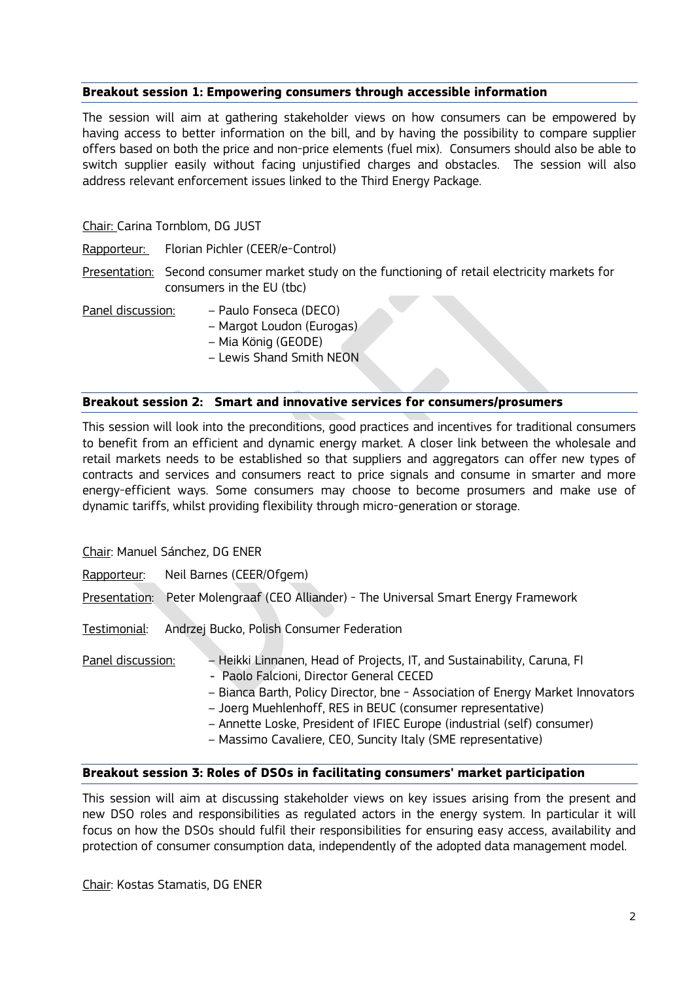## **Breakout session 1: Empowering consumers through accessible information**

The session will aim at gathering stakeholder views on how consumers can be empowered by having access to better information on the bill, and by having the possibility to compare supplier offers based on both the price and non-price elements (fuel mix). Consumers should also be able to switch supplier easily without facing unjustified charges and obstacles. The session will also address relevant enforcement issues linked to the Third Energy Package.

Chair: Carina Tornblom, DG JUST

Rapporteur: Florian Pichler (CEER/e-Control)

Presentation: Second consumer market study on the functioning of retail electricity markets for consumers in the EU (tbc)

Panel discussion: – Paulo Fonseca (DECO)

– Margot Loudon (Eurogas)

- Mia König (GEODE)
- Lewis Shand Smith NEON

## **Breakout session 2: Smart and innovative services for consumers/prosumers**

This session will look into the preconditions, good practices and incentives for traditional consumers to benefit from an efficient and dynamic energy market. A closer link between the wholesale and retail markets needs to be established so that suppliers and aggregators can offer new types of contracts and services and consumers react to price signals and consume in smarter and more energy-efficient ways. Some consumers may choose to become prosumers and make use of dynamic tariffs, whilst providing flexibility through micro-generation or storage.

Chair: Manuel Sánchez, DG ENER

Rapporteur: Neil Barnes (CEER/Ofgem)

Presentation: Peter Molengraaf (CEO Alliander) - The Universal Smart Energy Framework

Testimonial: Andrzej Bucko, Polish Consumer Federation

Panel discussion: – Heikki Linnanen, Head of Projects, IT, and Sustainability, Caruna, FI

- Paolo Falcioni, Director General CECED
- Bianca Barth, Policy Director, bne Association of Energy Market Innovators
- Joerg Muehlenhoff, RES in BEUC (consumer representative)
- Annette Loske, President of IFIEC Europe (industrial (self) consumer)
- Massimo Cavaliere, CEO, Suncity Italy (SME representative)

## **Breakout session 3: Roles of DSOs in facilitating consumers' market participation**

This session will aim at discussing stakeholder views on key issues arising from the present and new DSO roles and responsibilities as regulated actors in the energy system. In particular it will focus on how the DSOs should fulfil their responsibilities for ensuring easy access, availability and protection of consumer consumption data, independently of the adopted data management model.

Chair: Kostas Stamatis, DG ENER